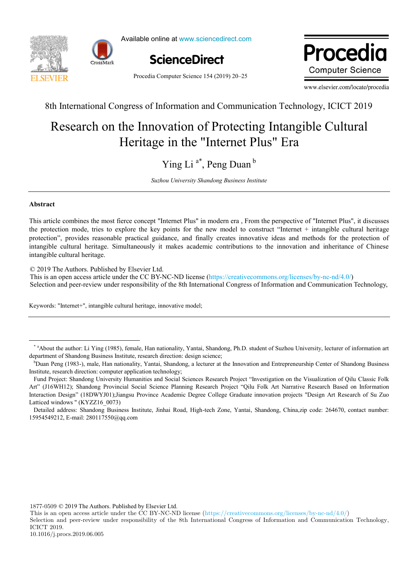



Available online at www.sciencedirect.com



Procedia Computer Science 154 (2019) 20–25

www.elsevier.com/locate/procediate/procediate/procediate/procediate/procediate/procediate/procediate/procediate/<br>Procediate of the complex procediate of the complex procediate of the complex procediate of the complex proce Drocadic **Computer Science** 

www.elsevier.com/locate/procedia

8th International Congress of Information and Communication Technology, ICICT 2019 8th International Congress of Information and Communication Technology, ICICT 2019

#### Research on the Innovation of Protecting Intangible Cultural Heritage in the "Internet Plus" Era Research on the Innovation of Protecting Intangible Cultural Heritage in the "Internet Plus" Era Research on the Innovation of Protecting Intangible Cultural Heritage in the "Internet Plus" Era

Ying Li<sup> $\alpha$ </sup>, Peng Duan<sup>6</sup>  $\mathbf{y}$  ,  $\mathbf{y}$  and  $\mathbf{y}$  and  $\mathbf{y}$  b *Suzhou University Shandong Business Institute* Ying Li<sup>a\*</sup>, Peng Duan<sup>b</sup>

*Suzhou University Shandong Business Institute Suzhou University Shandong Business Institute*

# **Abstract Abstract**

This article combines the most fierce concept "Internet Plus" in modern era, From the perspective of "Internet Plus", it discusses the protection mode, tries to explore the key points for the new model to construct "Internet + intangible cultural heritage protection", provides reasonable practical guidance, and finally creates innovative ideas and methods for the protection of intangible cultural heritage. Simultaneously it makes academic contributions to the innovation and inheritance of Chinese intangible cultural heritage. intangible cultural heritage.

© 2019 The Authors. Published by Elsevier Ltd. C 2019 The Authors. Published by Elsevier Ltd.<br>This is an open access article under the CC BY-NC-ND license (https://creativecommons.org/licenses/by-nc-nd/4.0/)  $\heartsuit$  2019 The Authors. Published by Elsevier Ltd.

Selection and peer-review under responsibility of the 8th International Congress of Information and Communication Technology, Selection and peer fevrew. This is an open access article under the CC BY-NC-ND license (https://creativecommons.org/licenses/by-nc-nd/4.0/) Peer-review under responsibility of organizing committee of the 8th International Congress of Information and Communication

Keywords: "Internet+", intangible cultural heritage, innovative model;  $\mathcal{L}_{\text{max}}$  , internet  $\mathcal{L}_{\text{max}}$  , in the cultural heritage, in  $\mathcal{L}_{\text{max}}$  $K_{\rm eff}$  internet  $\sim$   $10$  , in the cultural heritage, in the cultural heritage, in  $\sim$ 

1877-0509 © 2019 The Authors. Published by Elsevier Ltd.

<sup>\*</sup> aAbout the author: Li Ying (1985), female, Han nationality, Yantai, Shandong, Ph.D. student of Suzhou University, lecturer of information art department of Shandong Business Institute, research direction: design science; \* a About the author: Li Ying (1985), female, Han nationality, Yantai, Shandong, Ph.D. student of Suzhou University, lecturer of information art

<sup>&</sup>lt;sup>b</sup>Duan Peng (1983-), male, Han nationality, Yantai, Shandong, a lecturer at the Innovation and Entrepreneurship Center of Shandong Business<sup>b</sup> Institute, research direction: computer application technology;<br>Institute, research direction: computer application technology;

Fund Project: Shandong University Humanities and Social Sciences Research Project "Investigation on the Visualization of Qilu Classic Folk Art" (H6WH12); Shandong Provincial Social Science Planning Research Project "Qilu Folk Art Narrative Research Based on Information<br>Art" (H6WH12); Shandong Provincial Social Science Planning Research Project "Qilu Folk Art Fund Project: Shandong Hovincial Social Sciences Research Project: Shandong University Humanities and December Research Project The Visualization of Qilu Classic Folks The Visualization of Qilu Classic Folks The Visualizat Interaction Design" (18DWYJ01);Jiangsu Province Academic Degree College Graduate innovation projects "Design Art Research of Su Zuo Latticed windows "  $(KYZZ16_0073)$ 

Detailed address: Shandong Business Institute, Jinhai Road, High-tech Zone, Yantai, Shandong, China,zip code: 264670, contact number: Lattice address: Shandong Business Institute, Jinhai Road, High-tech Zone, Yantai, Shandong, China,zip code: 264670, contact number:<br>15954549212, E-mail: 280117550@qq.com  $D_{\text{SUSY}}$  E man, Zoot Fissology-tech  $P_{\text{SUSY}}$ 

This is an open access article under the CC BY-NC-ND license (https://creativecommons.org/licenses/by-nc-nd/4.0/)

Selection and peer-review under responsibility of the 8th International Congress of Information and Communication Technology, ICICT 2019.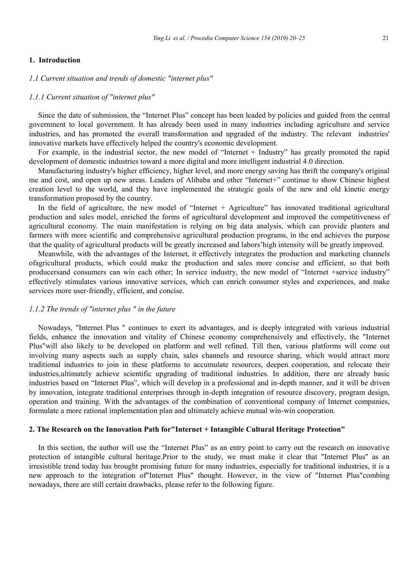# **1. Introduction**

#### *1.1 Current situation and trends of domestic "internet plus"*

## *1.1.1 Current situation of "internet plus"*

Since the date of submission, the "Internet Plus" concept has been leaded by policies and guided from the central government to local government. It has already been used in many industries including agriculture and service industries, and has promoted the overall transformation and upgraded of the industry. The relevant industries' innovative markets have effectively helped the country's economic development.

For example, in the industrial sector, the new model of "Internet + Industry" has greatly promoted the rapid development of domestic industries toward a more digital and more intelligent industrial 4.0 direction.

Manufacturing industry's higher efficiency, higher level, and more energy saving has thrift the company's original me and cost, and open up new areas. Leaders of Alibaba and other "Internet+" continue to show Chinese highest creation level to the world, and they have implemented the strategic goals of the new and old kinetic energy transformation proposed by the country.

In the field of agriculture, the new model of "Internet + Agriculture" has innovated traditional agricultural production and sales model, enriched the forms of agricultural development and improved the competitiveness of agricultural economy. The main manifestation is relying on big data analysis, which can provide planters and farmers with more scientific and comprehensive agricultural production programs, in the end achieves the purpose that the quality of agricultural products will be greatly increased and labors'high intensity will be greatly improved.

Meanwhile, with the advantages of the Internet, it effectively integrates the production and marketing channels ofagricultural products, which could make the production and sales more concise and efficient, so that both producersand consumers can win each other; In service industry, the new model of "Internet +service industry" effectively stimulates various innovative services, which can enrich consumer styles and experiences, and make services more user-friendly, efficient, and concise.

# *1.1.2 The trends of "internet plus " in the future*

Nowadays, "Internet Plus " continues to exert its advantages, and is deeply integrated with various industrial fields, enhance the innovation and vitality of Chinese economy comprehensively and effectively, the "Internet Plus"will also likely to be developed on platform and well refined. Till then, various platforms will come out involving many aspects such as supply chain, sales channels and resource sharing, which would attract more traditional industries to join in these platforms to accumulate resources, deepen cooperation, and relocate their industries,ultimately achieve scientific upgrading of traditional industries. In addition, there are already basic industries based on "Internet Plus", which will develop in a professional and in-depth manner, and it will be driven by innovation, integrate traditional enterprises through in-depth integration of resource discovery, program design, operation and training. With the advantages of the combination of conventional company of Internet companies, formulate a more rational implementation plan and ultimately achieve mutual win-win cooperation.

## **2. The Research on the Innovation Path for"Internet + Intangible Cultural Heritage Protection"**

In this section, the author will use the "Internet Plus" as an entry point to carry out the research on innovative protection of intangible cultural heritage.Prior to the study, we must make it clear that "Internet Plus" as an irresistible trend today has brought promising future for many industries, especially for traditional industries, it is a new approach to the integration of"Internet Plus" thought. However, in the view of "Internet Plus"combing nowadays, there are still certain drawbacks, please refer to the following figure.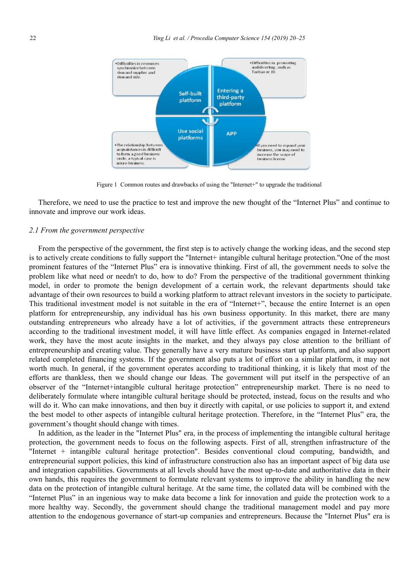

Figure 1 Common routes and drawbacks of using the "Internet+" to upgrade the traditional

Therefore, we need to use the practice to test and improve the new thought of the "Internet Plus" and continue to innovate and improve our work ideas.

## *2.1 From the government perspective*

From the perspective of the government, the first step is to actively change the working ideas, and the second step is to actively create conditions to fully support the "Internet+ intangible cultural heritage protection."One of the most prominent features of the "Internet Plus" era is innovative thinking. First of all, the government needs to solve the problem like what need or needn't to do, how to do? From the perspective of the traditional government thinking model, in order to promote the benign development of a certain work, the relevant departments should take advantage of their own resources to build a working platform to attract relevant investors in the society to participate. This traditional investment model is not suitable in the era of "Internet+", because the entire Internet is an open platform for entrepreneurship, any individual has his own business opportunity. In this market, there are many outstanding entrepreneurs who already have a lot of activities, if the government attracts these entrepreneurs according to the traditional investment model, it will have little effect. As companies engaged in Internet-related work, they have the most acute insights in the market, and they always pay close attention to the brilliant of entrepreneurship and creating value. They generally have a very mature business start up platform, and also support related completed financing systems. If the government also puts a lot of effort on a similar platform, it may not worth much. In general, if the government operates according to traditional thinking, it is likely that most of the efforts are thankless, then we should change our Ideas. The government will put itself in the perspective of an observer of the "Internet+intangible cultural heritage protection" entrepreneurship market. There is no need to deliberately formulate where intangible cultural heritage should be protected, instead, focus on the results and who will do it. Who can make innovations, and then buy it directly with capital, or use policies to support it, and extend the best model to other aspects of intangible cultural heritage protection. Therefore, in the "Internet Plus" era, the government's thought should change with times.

In addition, as the leader in the "Internet Plus" era, in the process of implementing the intangible cultural heritage protection, the government needs to focus on the following aspects. First of all, strengthen infrastructure of the "Internet + intangible cultural heritage protection". Besides conventional cloud computing, bandwidth, and entrepreneurial support policies, this kind of infrastructure construction also has an important aspect of big data use and integration capabilities. Governments at all levels should have the most up-to-date and authoritative data in their own hands, this requires the government to formulate relevant systems to improve the ability in handling the new data on the protection of intangible cultural heritage. At the same time, the collated data will be combined with the "Internet Plus" in an ingenious way to make data become a link for innovation and guide the protection work to a more healthy way. Secondly, the government should change the traditional management model and pay more attention to the endogenous governance of start-up companies and entrepreneurs. Because the "Internet Plus" era is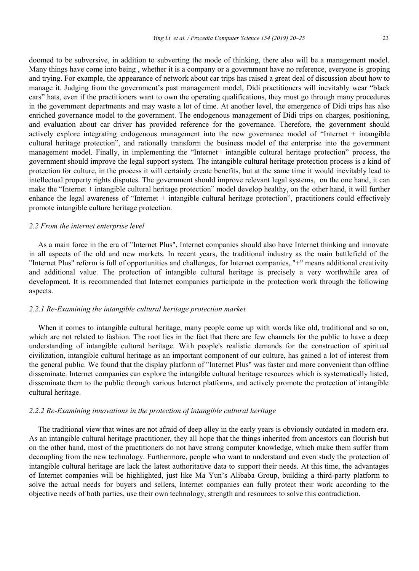doomed to be subversive, in addition to subverting the mode of thinking, there also will be a management model. Many things have come into being , whether it is a company or a government have no reference, everyone is groping and trying. For example, the appearance of network about car trips has raised a great deal of discussion about how to manage it. Judging from the government's past management model, Didi practitioners will inevitably wear "black cars" hats, even if the practitioners want to own the operating qualifications, they must go through many procedures in the government departments and may waste a lot of time. At another level, the emergence of Didi trips has also enriched governance model to the government. The endogenous management of Didi trips on charges, positioning, and evaluation about car driver has provided reference for the governance. Therefore, the government should actively explore integrating endogenous management into the new governance model of "Internet + intangible cultural heritage protection", and rationally transform the business model of the enterprise into the government management model. Finally, in implementing the "Internet+ intangible cultural heritage protection" process, the government should improve the legal support system. The intangible cultural heritage protection process is a kind of protection for culture, in the process it will certainly create benefits, but at the same time it would inevitably lead to intellectual property rights disputes. The government should improve relevant legal systems, on the one hand, it can make the "Internet + intangible cultural heritage protection" model develop healthy, on the other hand, it will further enhance the legal awareness of "Internet + intangible cultural heritage protection", practitioners could effectively promote intangible culture heritage protection.

# *2.2 From the internet enterprise level*

As a main force in the era of "Internet Plus", Internet companies should also have Internet thinking and innovate in all aspects of the old and new markets. In recent years, the traditional industry as the main battlefield of the "Internet Plus" reform is full of opportunities and challenges, for Internet companies, "+" means additional creativity and additional value. The protection of intangible cultural heritage is precisely a very worthwhile area of development. It is recommended that Internet companies participate in the protection work through the following aspects.

## *2.2.1 Re-Examining the intangible cultural heritage protection market*

When it comes to intangible cultural heritage, many people come up with words like old, traditional and so on, which are not related to fashion. The root lies in the fact that there are few channels for the public to have a deep understanding of intangible cultural heritage. With people's realistic demands for the construction of spiritual civilization, intangible cultural heritage as an important component of our culture, has gained a lot of interest from the general public. We found that the display platform of "Internet Plus" was faster and more convenient than offline disseminate. Internet companies can explore the intangible cultural heritage resources which is systematically listed, disseminate them to the public through various Internet platforms, and actively promote the protection of intangible cultural heritage.

## *2.2.2 Re-Examining innovations in the protection of intangible cultural heritage*

The traditional view that wines are not afraid of deep alley in the early years is obviously outdated in modern era. As an intangible cultural heritage practitioner, they all hope that the things inherited from ancestors can flourish but on the other hand, most of the practitioners do not have strong computer knowledge, which make them suffer from decoupling from the new technology. Furthermore, people who want to understand and even study the protection of intangible cultural heritage are lack the latest authoritative data to support their needs. At this time, the advantages of Internet companies will be highlighted, just like Ma Yun's Alibaba Group, building a third-party platform to solve the actual needs for buyers and sellers, Internet companies can fully protect their work according to the objective needs of both parties, use their own technology, strength and resources to solve this contradiction.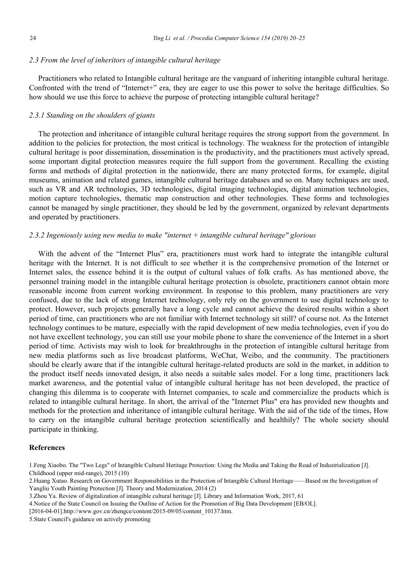# *2.3 From the level of inheritors of intangible cultural heritage*

Practitioners who related to Intangible cultural heritage are the vanguard of inheriting intangible cultural heritage. Confronted with the trend of "Internet+" era, they are eager to use this power to solve the heritage difficulties. So how should we use this force to achieve the purpose of protecting intangible cultural heritage?

# *2.3.1 Standing on the shoulders of giants*

The protection and inheritance of intangible cultural heritage requires the strong support from the government. In addition to the policies for protection, the most critical is technology. The weakness for the protection of intangible cultural heritage is poor dissemination, dissemination is the productivity, and the practitioners must actively spread, some important digital protection measures require the full support from the government. Recalling the existing forms and methods of digital protection in the nationwide, there are many protected forms, for example, digital museums, animation and related games, intangible cultural heritage databases and so on. Many techniques are used, such as VR and AR technologies, 3D technologies, digital imaging technologies, digital animation technologies, motion capture technologies, thematic map construction and other technologies. These forms and technologies cannot be managed by single practitioner, they should be led by the government, organized by relevant departments and operated by practitioners.

## *2.3.2 Ingeniously using new media to make "internet + intangible cultural heritage" glorious*

With the advent of the "Internet Plus" era, practitioners must work hard to integrate the intangible cultural heritage with the Internet. It is not difficult to see whether it is the comprehensive promotion of the Internet or Internet sales, the essence behind it is the output of cultural values of folk crafts. As has mentioned above, the personnel training model in the intangible cultural heritage protection is obsolete, practitioners cannot obtain more reasonable income from current working environment. In response to this problem, many practitioners are very confused, due to the lack of strong Internet technology, only rely on the government to use digital technology to protect. However, such projects generally have a long cycle and cannot achieve the desired results within a short period of time, can practitioners who are not familiar with Internet technology sit still? of course not. As the Internet technology continues to be mature, especially with the rapid development of new media technologies, even if you do not have excellent technology, you can still use your mobile phone to share the convenience of the Internet in a short period of time. Activists may wish to look for breakthroughs in the protection of intangible cultural heritage from new media platforms such as live broadcast platforms, WeChat, Weibo, and the community. The practitioners should be clearly aware that if the intangible cultural heritage-related products are sold in the market, in addition to the product itself needs innovated design, it also needs a suitable sales model. For a long time, practitioners lack market awareness, and the potential value of intangible cultural heritage has not been developed, the practice of changing this dilemma is to cooperate with Internet companies, to scale and commercialize the products which is related to intangible cultural heritage. In short, the arrival of the "Internet Plus" era has provided new thoughts and methods for the protection and inheritance of intangible cultural heritage. With the aid of the tide of the times, How to carry on the intangible cultural heritage protection scientifically and healthily? The whole society should participate in thinking.

# **References**

- 1.Feng Xiaobo. The "Two Legs" of Intangible Cultural Heritage Protection: Using the Media and Taking the Road of Industrialization [J]. Childhood (upper mid-range), 2015 (10)
- 2.Huang Xutao. Research on Government Responsibilities in the Protection of Intangible Cultural Heritage——Based on the Investigation of Yangliu Youth Painting Protection [J]. Theory and Modernization, 2014 (2)
- 3.Zhou Ya. Review of digitalization of intangible cultural heritage [J]. Library and Information Work, 2017, 61
- 4.Notice of the State Council on Issuing the Outline of Action for the Promotion of Big Data Development [EB/OL].

[2016-04-01].http://www.gov.cn/zhengce/content/2015-09/05/content\_10137.htm.

5.State Council's guidance on actively promoting